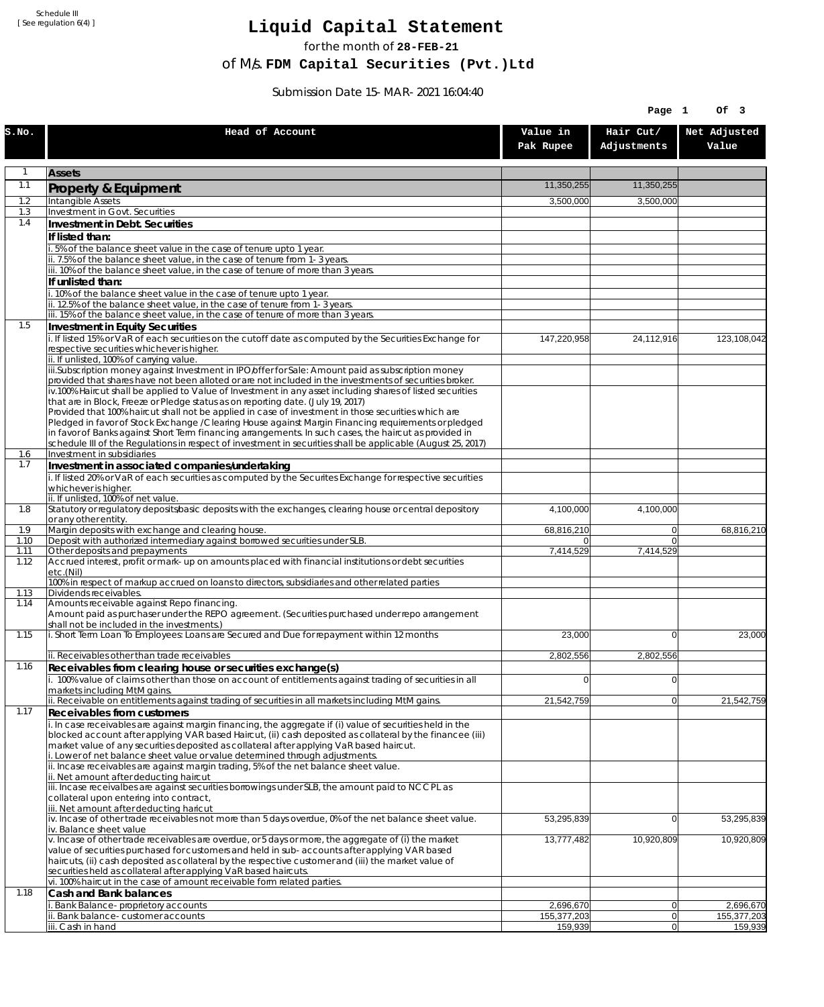Schedule III [ See regulation 6(4) ]

## **Liquid Capital Statement**

for the month of **28-FEB-21**

of M/s. **FDM Capital Securities (Pvt.)Ltd**

Submission Date 15-MAR-2021 16:04:40

|              |                                                                                                                                                                                                                                                                                                                                                                                                                                                              |                        | Page 1                           | Of 3                   |
|--------------|--------------------------------------------------------------------------------------------------------------------------------------------------------------------------------------------------------------------------------------------------------------------------------------------------------------------------------------------------------------------------------------------------------------------------------------------------------------|------------------------|----------------------------------|------------------------|
| s.no.        | Head of Account                                                                                                                                                                                                                                                                                                                                                                                                                                              | Value in<br>Pak Rupee  | Hair Cut/<br>Adjustments         | Net Adjusted<br>Value  |
| $\mathbf{1}$ | <b>Assets</b>                                                                                                                                                                                                                                                                                                                                                                                                                                                |                        |                                  |                        |
| 1.1          | <b>Property &amp; Equipment</b>                                                                                                                                                                                                                                                                                                                                                                                                                              | 11.350.255             | 11,350,255                       |                        |
| 1.2          | Intangible Assets                                                                                                                                                                                                                                                                                                                                                                                                                                            | 3,500,000              | 3,500,000                        |                        |
| 1.3<br>1.4   | Investment in Govt. Securities                                                                                                                                                                                                                                                                                                                                                                                                                               |                        |                                  |                        |
|              | Investment in Debt. Securities<br>If listed than:                                                                                                                                                                                                                                                                                                                                                                                                            |                        |                                  |                        |
|              | .5% of the balance sheet value in the case of tenure upto 1 year.                                                                                                                                                                                                                                                                                                                                                                                            |                        |                                  |                        |
|              | ii. 7.5% of the balance sheet value, in the case of tenure from 1-3 years.                                                                                                                                                                                                                                                                                                                                                                                   |                        |                                  |                        |
|              | iii. 10% of the balance sheet value, in the case of tenure of more than 3 years.<br>If unlisted than:                                                                                                                                                                                                                                                                                                                                                        |                        |                                  |                        |
|              | i. 10% of the balance sheet value in the case of tenure upto 1 year.                                                                                                                                                                                                                                                                                                                                                                                         |                        |                                  |                        |
|              | ii. 12.5% of the balance sheet value, in the case of tenure from 1-3 years.                                                                                                                                                                                                                                                                                                                                                                                  |                        |                                  |                        |
| 1.5          | iii. 15% of the balance sheet value, in the case of tenure of more than 3 years.<br>Investment in Equity Securities                                                                                                                                                                                                                                                                                                                                          |                        |                                  |                        |
|              | i. If listed 15% or VaR of each securities on the cutoff date as computed by the Securities Exchange for<br>respective securities whichever is higher.                                                                                                                                                                                                                                                                                                       | 147,220,958            | 24,112,916                       | 123,108,042            |
|              | ii. If unlisted, 100% of carrying value.<br>iii.Subscription money against Investment in IPO/offer for Sale: Amount paid as subscription money                                                                                                                                                                                                                                                                                                               |                        |                                  |                        |
|              | provided that shares have not been alloted or are not included in the investments of securities broker.                                                                                                                                                                                                                                                                                                                                                      |                        |                                  |                        |
|              | $\overline{v}$ .100% Haircut shall be applied to Value of Investment in any asset including shares of listed securities                                                                                                                                                                                                                                                                                                                                      |                        |                                  |                        |
|              | that are in Block, Freeze or Pledge status as on reporting date. (July 19, 2017)<br>Provided that 100% haircut shall not be applied in case of investment in those securities which are                                                                                                                                                                                                                                                                      |                        |                                  |                        |
|              | Pledged in favor of Stock Exchange / Clearing House against Margin Financing requirements or pledged                                                                                                                                                                                                                                                                                                                                                         |                        |                                  |                        |
|              | in favor of Banks against Short Term financing arrangements. In such cases, the haircut as provided in<br>schedule III of the Regulations in respect of investment in securities shall be applicable (August 25, 2017)                                                                                                                                                                                                                                       |                        |                                  |                        |
| 1.6          | Investment in subsidiaries                                                                                                                                                                                                                                                                                                                                                                                                                                   |                        |                                  |                        |
| 1.7          | Investment in associated companies/undertaking                                                                                                                                                                                                                                                                                                                                                                                                               |                        |                                  |                        |
|              | i. If listed 20% or VaR of each securities as computed by the Securites Exchange for respective securities<br>whichever is higher.                                                                                                                                                                                                                                                                                                                           |                        |                                  |                        |
|              | ii. If unlisted, 100% of net value.                                                                                                                                                                                                                                                                                                                                                                                                                          |                        |                                  |                        |
| 1.8          | Statutory or regulatory deposits/basic deposits with the exchanges, clearing house or central depository<br>or any other entity.                                                                                                                                                                                                                                                                                                                             | 4,100,000              | 4,100,000                        |                        |
| 1.9          | Margin deposits with exchange and clearing house.                                                                                                                                                                                                                                                                                                                                                                                                            | 68,816,210             | $\overline{0}$                   | 68,816,210             |
| 1.10         | Deposit with authorized intermediary against borrowed securities under SLB.                                                                                                                                                                                                                                                                                                                                                                                  |                        | $\Omega$                         |                        |
| 1.11<br>1.12 | Other deposits and prepayments<br>Accrued interest, profit or mark-up on amounts placed with financial institutions or debt securities<br>etc.(Nil)                                                                                                                                                                                                                                                                                                          | 7,414,529              | 7,414,529                        |                        |
|              | 100% in respect of markup accrued on loans to directors, subsidiaries and other related parties                                                                                                                                                                                                                                                                                                                                                              |                        |                                  |                        |
| 1.13<br>1.14 | Dividends receivables.<br>Amounts receivable against Repo financing.                                                                                                                                                                                                                                                                                                                                                                                         |                        |                                  |                        |
|              | Amount paid as purchaser under the REPO agreement. (Securities purchased under repo arrangement<br>shall not be included in the investments.)                                                                                                                                                                                                                                                                                                                |                        |                                  |                        |
| 1.15         | i. Short Term Loan To Employees: Loans are Secured and Due for repayment within 12 months                                                                                                                                                                                                                                                                                                                                                                    | 23,000                 | $\overline{0}$                   | 23,000                 |
|              | ii. Receivables other than trade receivables                                                                                                                                                                                                                                                                                                                                                                                                                 | 2,802,556              | 2.802.556                        |                        |
| 1.16         | Receivables from clearing house or securities exchange(s)                                                                                                                                                                                                                                                                                                                                                                                                    |                        |                                  |                        |
|              | i. 100% value of claims other than those on account of entitlements against trading of securities in all<br>markets including MtM gains.                                                                                                                                                                                                                                                                                                                     | 0                      | 0                                |                        |
|              | ii. Receivable on entitlements against trading of securities in all markets including MtM gains.                                                                                                                                                                                                                                                                                                                                                             | 21,542,759             | $\overline{0}$                   | 21,542,759             |
| 1.17         | <b>Receivables from customers</b><br>i. In case receivables are against margin financing, the aggregate if (i) value of securities held in the                                                                                                                                                                                                                                                                                                               |                        |                                  |                        |
|              | blocked account after applying VAR based Haircut, (ii) cash deposited as collateral by the financee (iii)<br>market value of any securities deposited as collateral after applying VaR based haircut.                                                                                                                                                                                                                                                        |                        |                                  |                        |
|              | i. Lower of net balance sheet value or value determined through adjustments.<br>ii. Incase receivables are against margin trading, 5% of the net balance sheet value.<br>ii. Net amount after deducting haircut                                                                                                                                                                                                                                              |                        |                                  |                        |
|              | iii. Incase receivalbes are against securities borrowings under SLB, the amount paid to NCCPL as<br>collateral upon entering into contract,<br>iii. Net amount after deducting haricut                                                                                                                                                                                                                                                                       |                        |                                  |                        |
|              | iv. Incase of other trade receivables not more than 5 days overdue, 0% of the net balance sheet value.<br>iv. Balance sheet value                                                                                                                                                                                                                                                                                                                            | 53,295,839             | $\overline{0}$                   | 53,295,839             |
|              | v. Incase of other trade receivables are overdue, or 5 days or more, the aggregate of (i) the market<br>value of securities purchased for customers and held in sub-accounts after applying VAR based<br>haircuts, (ii) cash deposited as collateral by the respective customer and (iii) the market value of<br>securities held as collateral after applying VaR based haircuts.<br>vi. 100% haircut in the case of amount receivable form related parties. | 13,777,482             | 10,920,809                       | 10,920,809             |
| 1.18         | Cash and Bank balances                                                                                                                                                                                                                                                                                                                                                                                                                                       |                        |                                  |                        |
|              | Bank Balance-proprietory accounts                                                                                                                                                                                                                                                                                                                                                                                                                            | 2,696,670              | $\overline{0}$                   | 2,696,670              |
|              | ii. Bank balance-customer accounts<br>iii. Cash in hand                                                                                                                                                                                                                                                                                                                                                                                                      | 155,377,203<br>159,939 | $\overline{0}$<br>$\overline{0}$ | 155,377,203<br>159,939 |
|              |                                                                                                                                                                                                                                                                                                                                                                                                                                                              |                        |                                  |                        |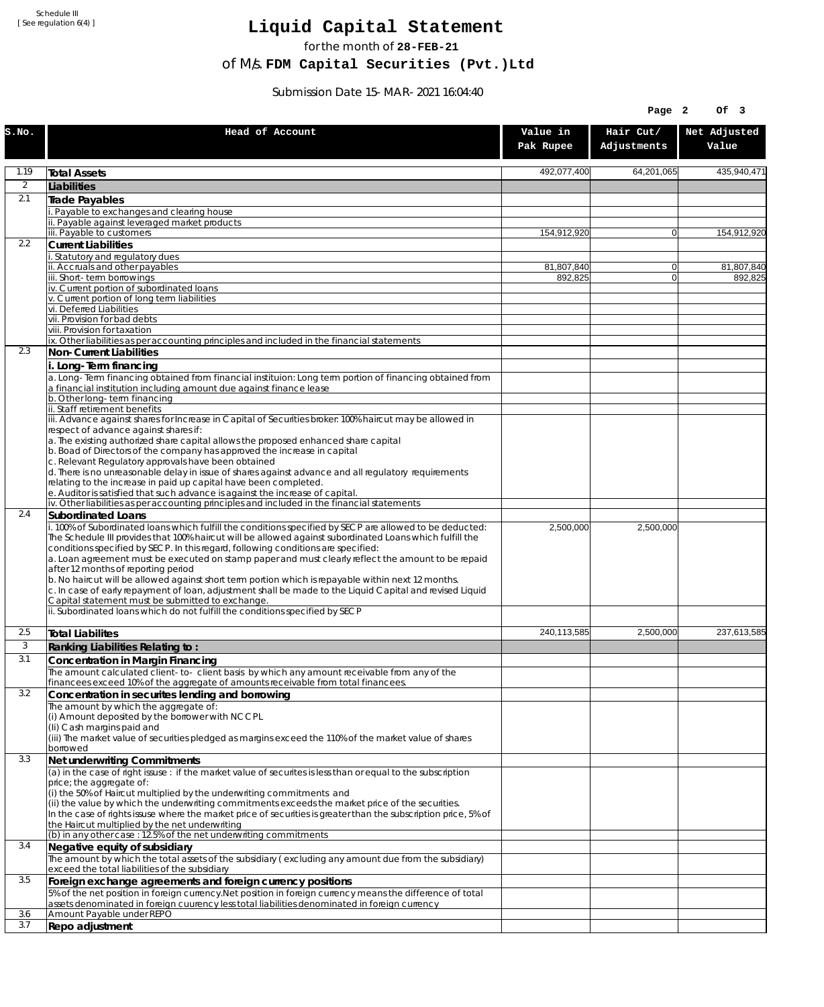Schedule III [ See regulation 6(4) ]

## **Liquid Capital Statement**

for the month of **28-FEB-21**

of M/s. **FDM Capital Securities (Pvt.)Ltd**

Submission Date 15-MAR-2021 16:04:40

| Hair Cut/<br>Net Adjusted<br>Head of Account<br>Value in<br>Adjustments<br>Value<br>Pak Rupee<br>1.19<br>492,077,400<br>64,201,065<br>435,940,471<br><b>Total Assets</b><br>$\overline{2}$<br>Liabilities<br>2.1<br>Trade Payables<br>Payable to exchanges and clearing house<br>. Payable against leveraged market products<br>iii. Payable to customers<br>154,912,920<br>$\overline{0}$<br>154,912,920<br>2.2<br><b>Current Liabilities</b><br>Statutory and regulatory dues<br>ii. Accruals and other payables<br>81,807,840<br>81,807,840<br> 0 <br>ii. Short-term borrowings<br>892.825<br>$\mathbf{0}$<br>892,825<br>iv. Current portion of subordinated loans<br>v. Current portion of long term liabilities<br>vi. Deferred Liabilities<br>vii. Provision for bad debts<br>viii. Provision for taxation<br>ix. Other liabilities as per accounting principles and included in the financial statements<br>2.3<br>Non-Current Liabilities<br>i. Long-Term financing<br>a. Long-Term financing obtained from financial instituion: Long term portion of financing obtained from<br>a financial institution including amount due against finance lease<br>b. Other long-term financing<br>ii. Staff retirement benefits<br>iii. Advance against shares for Increase in Capital of Securities broker: 100% haircut may be allowed in<br>respect of advance against shares if:<br>a. The existing authorized share capital allows the proposed enhanced share capital<br>b. Boad of Directors of the company has approved the increase in capital<br>c. Relevant Regulatory approvals have been obtained<br>d. There is no unreasonable delay in issue of shares against advance and all regulatory requirements<br>relating to the increase in paid up capital have been completed.<br>e. Auditor is satisfied that such advance is against the increase of capital.<br>iv. Other liabilities as per accounting principles and included in the financial statements<br>2.4<br>Subordinated Loans<br>. 100% of Subordinated loans which fulfill the conditions specified by SECP are allowed to be deducted:<br>2,500,000<br>2,500,000<br>The Schedule III provides that 100% haircut will be allowed against subordinated Loans which fulfill the<br>conditions specified by SECP. In this regard, following conditions are specified:<br>a. Loan agreement must be executed on stamp paper and must clearly reflect the amount to be repaid<br>after 12 months of reporting period<br>b. No haircut will be allowed against short term portion which is repayable within next 12 months.<br>c. In case of early repayment of loan, adjustment shall be made to the Liquid Capital and revised Liquid<br>Capital statement must be submitted to exchange.<br>ii. Subordinated loans which do not fulfill the conditions specified by SECP<br>2.5<br>240,113,585<br>2,500,000<br>237,613,585<br><b>Total Liabilites</b><br>3<br>Ranking Liabilities Relating to:<br>3.1<br>Concentration in Margin Financing<br>The amount calculated client-to- client basis by which any amount receivable from any of the<br>financees exceed 10% of the aggregate of amounts receivable from total financees.<br>3.2<br>Concentration in securites lending and borrowing<br>The amount by which the aggregate of:<br>(i) Amount deposited by the borrower with NCCPL<br>(Ii) Cash margins paid and<br>(iii) The market value of securities pledged as margins exceed the 110% of the market value of shares<br>borrowed<br>3.3<br>Net underwriting Commitments<br>(a) in the case of right issuse: if the market value of securites is less than or equal to the subscription<br>price; the aggregate of:<br>(i) the 50% of Haircut multiplied by the underwriting commitments and<br>(ii) the value by which the underwriting commitments exceeds the market price of the securities.<br>In the case of rights issuse where the market price of securities is greater than the subscription price, 5% of<br>the Haircut multiplied by the net underwriting<br>(b) in any other case: 12.5% of the net underwriting commitments<br>3.4<br>Negative equity of subsidiary<br>The amount by which the total assets of the subsidiary (excluding any amount due from the subsidiary)<br>exceed the total liabilities of the subsidiary<br>3.5<br>Foreign exchange agreements and foreign currency positions<br>5% of the net position in foreign currency. Net position in foreign currency means the difference of total<br>assets denominated in foreign cuurency less total liabilities denominated in foreign currency<br>3.6<br>Amount Payable under REPO<br>3.7<br>Repo adjustment |       |  | Page 2 | Of 3 |
|------------------------------------------------------------------------------------------------------------------------------------------------------------------------------------------------------------------------------------------------------------------------------------------------------------------------------------------------------------------------------------------------------------------------------------------------------------------------------------------------------------------------------------------------------------------------------------------------------------------------------------------------------------------------------------------------------------------------------------------------------------------------------------------------------------------------------------------------------------------------------------------------------------------------------------------------------------------------------------------------------------------------------------------------------------------------------------------------------------------------------------------------------------------------------------------------------------------------------------------------------------------------------------------------------------------------------------------------------------------------------------------------------------------------------------------------------------------------------------------------------------------------------------------------------------------------------------------------------------------------------------------------------------------------------------------------------------------------------------------------------------------------------------------------------------------------------------------------------------------------------------------------------------------------------------------------------------------------------------------------------------------------------------------------------------------------------------------------------------------------------------------------------------------------------------------------------------------------------------------------------------------------------------------------------------------------------------------------------------------------------------------------------------------------------------------------------------------------------------------------------------------------------------------------------------------------------------------------------------------------------------------------------------------------------------------------------------------------------------------------------------------------------------------------------------------------------------------------------------------------------------------------------------------------------------------------------------------------------------------------------------------------------------------------------------------------------------------------------------------------------------------------------------------------------------------------------------------------------------------------------------------------------------------------------------------------------------------------------------------------------------------------------------------------------------------------------------------------------------------------------------------------------------------------------------------------------------------------------------------------------------------------------------------------------------------------------------------------------------------------------------------------------------------------------------------------------------------------------------------------------------------------------------------------------------------------------------------------------------------------------------------------------------------------------------------------------------------------------------------------------------------------------------------------------------------------------------------------------------------------------------------------------------------------------------------------------------------------------------------------------------------------------------------------------------------------------------------------------------------------------------------------------------------------------------------------------------------------------------------------------------------------------------------------------|-------|--|--------|------|
|                                                                                                                                                                                                                                                                                                                                                                                                                                                                                                                                                                                                                                                                                                                                                                                                                                                                                                                                                                                                                                                                                                                                                                                                                                                                                                                                                                                                                                                                                                                                                                                                                                                                                                                                                                                                                                                                                                                                                                                                                                                                                                                                                                                                                                                                                                                                                                                                                                                                                                                                                                                                                                                                                                                                                                                                                                                                                                                                                                                                                                                                                                                                                                                                                                                                                                                                                                                                                                                                                                                                                                                                                                                                                                                                                                                                                                                                                                                                                                                                                                                                                                                                                                                                                                                                                                                                                                                                                                                                                                                                                                                                                                                                              | S.NO. |  |        |      |
|                                                                                                                                                                                                                                                                                                                                                                                                                                                                                                                                                                                                                                                                                                                                                                                                                                                                                                                                                                                                                                                                                                                                                                                                                                                                                                                                                                                                                                                                                                                                                                                                                                                                                                                                                                                                                                                                                                                                                                                                                                                                                                                                                                                                                                                                                                                                                                                                                                                                                                                                                                                                                                                                                                                                                                                                                                                                                                                                                                                                                                                                                                                                                                                                                                                                                                                                                                                                                                                                                                                                                                                                                                                                                                                                                                                                                                                                                                                                                                                                                                                                                                                                                                                                                                                                                                                                                                                                                                                                                                                                                                                                                                                                              |       |  |        |      |
|                                                                                                                                                                                                                                                                                                                                                                                                                                                                                                                                                                                                                                                                                                                                                                                                                                                                                                                                                                                                                                                                                                                                                                                                                                                                                                                                                                                                                                                                                                                                                                                                                                                                                                                                                                                                                                                                                                                                                                                                                                                                                                                                                                                                                                                                                                                                                                                                                                                                                                                                                                                                                                                                                                                                                                                                                                                                                                                                                                                                                                                                                                                                                                                                                                                                                                                                                                                                                                                                                                                                                                                                                                                                                                                                                                                                                                                                                                                                                                                                                                                                                                                                                                                                                                                                                                                                                                                                                                                                                                                                                                                                                                                                              |       |  |        |      |
|                                                                                                                                                                                                                                                                                                                                                                                                                                                                                                                                                                                                                                                                                                                                                                                                                                                                                                                                                                                                                                                                                                                                                                                                                                                                                                                                                                                                                                                                                                                                                                                                                                                                                                                                                                                                                                                                                                                                                                                                                                                                                                                                                                                                                                                                                                                                                                                                                                                                                                                                                                                                                                                                                                                                                                                                                                                                                                                                                                                                                                                                                                                                                                                                                                                                                                                                                                                                                                                                                                                                                                                                                                                                                                                                                                                                                                                                                                                                                                                                                                                                                                                                                                                                                                                                                                                                                                                                                                                                                                                                                                                                                                                                              |       |  |        |      |
|                                                                                                                                                                                                                                                                                                                                                                                                                                                                                                                                                                                                                                                                                                                                                                                                                                                                                                                                                                                                                                                                                                                                                                                                                                                                                                                                                                                                                                                                                                                                                                                                                                                                                                                                                                                                                                                                                                                                                                                                                                                                                                                                                                                                                                                                                                                                                                                                                                                                                                                                                                                                                                                                                                                                                                                                                                                                                                                                                                                                                                                                                                                                                                                                                                                                                                                                                                                                                                                                                                                                                                                                                                                                                                                                                                                                                                                                                                                                                                                                                                                                                                                                                                                                                                                                                                                                                                                                                                                                                                                                                                                                                                                                              |       |  |        |      |
|                                                                                                                                                                                                                                                                                                                                                                                                                                                                                                                                                                                                                                                                                                                                                                                                                                                                                                                                                                                                                                                                                                                                                                                                                                                                                                                                                                                                                                                                                                                                                                                                                                                                                                                                                                                                                                                                                                                                                                                                                                                                                                                                                                                                                                                                                                                                                                                                                                                                                                                                                                                                                                                                                                                                                                                                                                                                                                                                                                                                                                                                                                                                                                                                                                                                                                                                                                                                                                                                                                                                                                                                                                                                                                                                                                                                                                                                                                                                                                                                                                                                                                                                                                                                                                                                                                                                                                                                                                                                                                                                                                                                                                                                              |       |  |        |      |
|                                                                                                                                                                                                                                                                                                                                                                                                                                                                                                                                                                                                                                                                                                                                                                                                                                                                                                                                                                                                                                                                                                                                                                                                                                                                                                                                                                                                                                                                                                                                                                                                                                                                                                                                                                                                                                                                                                                                                                                                                                                                                                                                                                                                                                                                                                                                                                                                                                                                                                                                                                                                                                                                                                                                                                                                                                                                                                                                                                                                                                                                                                                                                                                                                                                                                                                                                                                                                                                                                                                                                                                                                                                                                                                                                                                                                                                                                                                                                                                                                                                                                                                                                                                                                                                                                                                                                                                                                                                                                                                                                                                                                                                                              |       |  |        |      |
|                                                                                                                                                                                                                                                                                                                                                                                                                                                                                                                                                                                                                                                                                                                                                                                                                                                                                                                                                                                                                                                                                                                                                                                                                                                                                                                                                                                                                                                                                                                                                                                                                                                                                                                                                                                                                                                                                                                                                                                                                                                                                                                                                                                                                                                                                                                                                                                                                                                                                                                                                                                                                                                                                                                                                                                                                                                                                                                                                                                                                                                                                                                                                                                                                                                                                                                                                                                                                                                                                                                                                                                                                                                                                                                                                                                                                                                                                                                                                                                                                                                                                                                                                                                                                                                                                                                                                                                                                                                                                                                                                                                                                                                                              |       |  |        |      |
|                                                                                                                                                                                                                                                                                                                                                                                                                                                                                                                                                                                                                                                                                                                                                                                                                                                                                                                                                                                                                                                                                                                                                                                                                                                                                                                                                                                                                                                                                                                                                                                                                                                                                                                                                                                                                                                                                                                                                                                                                                                                                                                                                                                                                                                                                                                                                                                                                                                                                                                                                                                                                                                                                                                                                                                                                                                                                                                                                                                                                                                                                                                                                                                                                                                                                                                                                                                                                                                                                                                                                                                                                                                                                                                                                                                                                                                                                                                                                                                                                                                                                                                                                                                                                                                                                                                                                                                                                                                                                                                                                                                                                                                                              |       |  |        |      |
|                                                                                                                                                                                                                                                                                                                                                                                                                                                                                                                                                                                                                                                                                                                                                                                                                                                                                                                                                                                                                                                                                                                                                                                                                                                                                                                                                                                                                                                                                                                                                                                                                                                                                                                                                                                                                                                                                                                                                                                                                                                                                                                                                                                                                                                                                                                                                                                                                                                                                                                                                                                                                                                                                                                                                                                                                                                                                                                                                                                                                                                                                                                                                                                                                                                                                                                                                                                                                                                                                                                                                                                                                                                                                                                                                                                                                                                                                                                                                                                                                                                                                                                                                                                                                                                                                                                                                                                                                                                                                                                                                                                                                                                                              |       |  |        |      |
|                                                                                                                                                                                                                                                                                                                                                                                                                                                                                                                                                                                                                                                                                                                                                                                                                                                                                                                                                                                                                                                                                                                                                                                                                                                                                                                                                                                                                                                                                                                                                                                                                                                                                                                                                                                                                                                                                                                                                                                                                                                                                                                                                                                                                                                                                                                                                                                                                                                                                                                                                                                                                                                                                                                                                                                                                                                                                                                                                                                                                                                                                                                                                                                                                                                                                                                                                                                                                                                                                                                                                                                                                                                                                                                                                                                                                                                                                                                                                                                                                                                                                                                                                                                                                                                                                                                                                                                                                                                                                                                                                                                                                                                                              |       |  |        |      |
|                                                                                                                                                                                                                                                                                                                                                                                                                                                                                                                                                                                                                                                                                                                                                                                                                                                                                                                                                                                                                                                                                                                                                                                                                                                                                                                                                                                                                                                                                                                                                                                                                                                                                                                                                                                                                                                                                                                                                                                                                                                                                                                                                                                                                                                                                                                                                                                                                                                                                                                                                                                                                                                                                                                                                                                                                                                                                                                                                                                                                                                                                                                                                                                                                                                                                                                                                                                                                                                                                                                                                                                                                                                                                                                                                                                                                                                                                                                                                                                                                                                                                                                                                                                                                                                                                                                                                                                                                                                                                                                                                                                                                                                                              |       |  |        |      |
|                                                                                                                                                                                                                                                                                                                                                                                                                                                                                                                                                                                                                                                                                                                                                                                                                                                                                                                                                                                                                                                                                                                                                                                                                                                                                                                                                                                                                                                                                                                                                                                                                                                                                                                                                                                                                                                                                                                                                                                                                                                                                                                                                                                                                                                                                                                                                                                                                                                                                                                                                                                                                                                                                                                                                                                                                                                                                                                                                                                                                                                                                                                                                                                                                                                                                                                                                                                                                                                                                                                                                                                                                                                                                                                                                                                                                                                                                                                                                                                                                                                                                                                                                                                                                                                                                                                                                                                                                                                                                                                                                                                                                                                                              |       |  |        |      |
|                                                                                                                                                                                                                                                                                                                                                                                                                                                                                                                                                                                                                                                                                                                                                                                                                                                                                                                                                                                                                                                                                                                                                                                                                                                                                                                                                                                                                                                                                                                                                                                                                                                                                                                                                                                                                                                                                                                                                                                                                                                                                                                                                                                                                                                                                                                                                                                                                                                                                                                                                                                                                                                                                                                                                                                                                                                                                                                                                                                                                                                                                                                                                                                                                                                                                                                                                                                                                                                                                                                                                                                                                                                                                                                                                                                                                                                                                                                                                                                                                                                                                                                                                                                                                                                                                                                                                                                                                                                                                                                                                                                                                                                                              |       |  |        |      |
|                                                                                                                                                                                                                                                                                                                                                                                                                                                                                                                                                                                                                                                                                                                                                                                                                                                                                                                                                                                                                                                                                                                                                                                                                                                                                                                                                                                                                                                                                                                                                                                                                                                                                                                                                                                                                                                                                                                                                                                                                                                                                                                                                                                                                                                                                                                                                                                                                                                                                                                                                                                                                                                                                                                                                                                                                                                                                                                                                                                                                                                                                                                                                                                                                                                                                                                                                                                                                                                                                                                                                                                                                                                                                                                                                                                                                                                                                                                                                                                                                                                                                                                                                                                                                                                                                                                                                                                                                                                                                                                                                                                                                                                                              |       |  |        |      |
|                                                                                                                                                                                                                                                                                                                                                                                                                                                                                                                                                                                                                                                                                                                                                                                                                                                                                                                                                                                                                                                                                                                                                                                                                                                                                                                                                                                                                                                                                                                                                                                                                                                                                                                                                                                                                                                                                                                                                                                                                                                                                                                                                                                                                                                                                                                                                                                                                                                                                                                                                                                                                                                                                                                                                                                                                                                                                                                                                                                                                                                                                                                                                                                                                                                                                                                                                                                                                                                                                                                                                                                                                                                                                                                                                                                                                                                                                                                                                                                                                                                                                                                                                                                                                                                                                                                                                                                                                                                                                                                                                                                                                                                                              |       |  |        |      |
|                                                                                                                                                                                                                                                                                                                                                                                                                                                                                                                                                                                                                                                                                                                                                                                                                                                                                                                                                                                                                                                                                                                                                                                                                                                                                                                                                                                                                                                                                                                                                                                                                                                                                                                                                                                                                                                                                                                                                                                                                                                                                                                                                                                                                                                                                                                                                                                                                                                                                                                                                                                                                                                                                                                                                                                                                                                                                                                                                                                                                                                                                                                                                                                                                                                                                                                                                                                                                                                                                                                                                                                                                                                                                                                                                                                                                                                                                                                                                                                                                                                                                                                                                                                                                                                                                                                                                                                                                                                                                                                                                                                                                                                                              |       |  |        |      |
|                                                                                                                                                                                                                                                                                                                                                                                                                                                                                                                                                                                                                                                                                                                                                                                                                                                                                                                                                                                                                                                                                                                                                                                                                                                                                                                                                                                                                                                                                                                                                                                                                                                                                                                                                                                                                                                                                                                                                                                                                                                                                                                                                                                                                                                                                                                                                                                                                                                                                                                                                                                                                                                                                                                                                                                                                                                                                                                                                                                                                                                                                                                                                                                                                                                                                                                                                                                                                                                                                                                                                                                                                                                                                                                                                                                                                                                                                                                                                                                                                                                                                                                                                                                                                                                                                                                                                                                                                                                                                                                                                                                                                                                                              |       |  |        |      |
|                                                                                                                                                                                                                                                                                                                                                                                                                                                                                                                                                                                                                                                                                                                                                                                                                                                                                                                                                                                                                                                                                                                                                                                                                                                                                                                                                                                                                                                                                                                                                                                                                                                                                                                                                                                                                                                                                                                                                                                                                                                                                                                                                                                                                                                                                                                                                                                                                                                                                                                                                                                                                                                                                                                                                                                                                                                                                                                                                                                                                                                                                                                                                                                                                                                                                                                                                                                                                                                                                                                                                                                                                                                                                                                                                                                                                                                                                                                                                                                                                                                                                                                                                                                                                                                                                                                                                                                                                                                                                                                                                                                                                                                                              |       |  |        |      |
|                                                                                                                                                                                                                                                                                                                                                                                                                                                                                                                                                                                                                                                                                                                                                                                                                                                                                                                                                                                                                                                                                                                                                                                                                                                                                                                                                                                                                                                                                                                                                                                                                                                                                                                                                                                                                                                                                                                                                                                                                                                                                                                                                                                                                                                                                                                                                                                                                                                                                                                                                                                                                                                                                                                                                                                                                                                                                                                                                                                                                                                                                                                                                                                                                                                                                                                                                                                                                                                                                                                                                                                                                                                                                                                                                                                                                                                                                                                                                                                                                                                                                                                                                                                                                                                                                                                                                                                                                                                                                                                                                                                                                                                                              |       |  |        |      |
|                                                                                                                                                                                                                                                                                                                                                                                                                                                                                                                                                                                                                                                                                                                                                                                                                                                                                                                                                                                                                                                                                                                                                                                                                                                                                                                                                                                                                                                                                                                                                                                                                                                                                                                                                                                                                                                                                                                                                                                                                                                                                                                                                                                                                                                                                                                                                                                                                                                                                                                                                                                                                                                                                                                                                                                                                                                                                                                                                                                                                                                                                                                                                                                                                                                                                                                                                                                                                                                                                                                                                                                                                                                                                                                                                                                                                                                                                                                                                                                                                                                                                                                                                                                                                                                                                                                                                                                                                                                                                                                                                                                                                                                                              |       |  |        |      |
|                                                                                                                                                                                                                                                                                                                                                                                                                                                                                                                                                                                                                                                                                                                                                                                                                                                                                                                                                                                                                                                                                                                                                                                                                                                                                                                                                                                                                                                                                                                                                                                                                                                                                                                                                                                                                                                                                                                                                                                                                                                                                                                                                                                                                                                                                                                                                                                                                                                                                                                                                                                                                                                                                                                                                                                                                                                                                                                                                                                                                                                                                                                                                                                                                                                                                                                                                                                                                                                                                                                                                                                                                                                                                                                                                                                                                                                                                                                                                                                                                                                                                                                                                                                                                                                                                                                                                                                                                                                                                                                                                                                                                                                                              |       |  |        |      |
|                                                                                                                                                                                                                                                                                                                                                                                                                                                                                                                                                                                                                                                                                                                                                                                                                                                                                                                                                                                                                                                                                                                                                                                                                                                                                                                                                                                                                                                                                                                                                                                                                                                                                                                                                                                                                                                                                                                                                                                                                                                                                                                                                                                                                                                                                                                                                                                                                                                                                                                                                                                                                                                                                                                                                                                                                                                                                                                                                                                                                                                                                                                                                                                                                                                                                                                                                                                                                                                                                                                                                                                                                                                                                                                                                                                                                                                                                                                                                                                                                                                                                                                                                                                                                                                                                                                                                                                                                                                                                                                                                                                                                                                                              |       |  |        |      |
|                                                                                                                                                                                                                                                                                                                                                                                                                                                                                                                                                                                                                                                                                                                                                                                                                                                                                                                                                                                                                                                                                                                                                                                                                                                                                                                                                                                                                                                                                                                                                                                                                                                                                                                                                                                                                                                                                                                                                                                                                                                                                                                                                                                                                                                                                                                                                                                                                                                                                                                                                                                                                                                                                                                                                                                                                                                                                                                                                                                                                                                                                                                                                                                                                                                                                                                                                                                                                                                                                                                                                                                                                                                                                                                                                                                                                                                                                                                                                                                                                                                                                                                                                                                                                                                                                                                                                                                                                                                                                                                                                                                                                                                                              |       |  |        |      |
|                                                                                                                                                                                                                                                                                                                                                                                                                                                                                                                                                                                                                                                                                                                                                                                                                                                                                                                                                                                                                                                                                                                                                                                                                                                                                                                                                                                                                                                                                                                                                                                                                                                                                                                                                                                                                                                                                                                                                                                                                                                                                                                                                                                                                                                                                                                                                                                                                                                                                                                                                                                                                                                                                                                                                                                                                                                                                                                                                                                                                                                                                                                                                                                                                                                                                                                                                                                                                                                                                                                                                                                                                                                                                                                                                                                                                                                                                                                                                                                                                                                                                                                                                                                                                                                                                                                                                                                                                                                                                                                                                                                                                                                                              |       |  |        |      |
|                                                                                                                                                                                                                                                                                                                                                                                                                                                                                                                                                                                                                                                                                                                                                                                                                                                                                                                                                                                                                                                                                                                                                                                                                                                                                                                                                                                                                                                                                                                                                                                                                                                                                                                                                                                                                                                                                                                                                                                                                                                                                                                                                                                                                                                                                                                                                                                                                                                                                                                                                                                                                                                                                                                                                                                                                                                                                                                                                                                                                                                                                                                                                                                                                                                                                                                                                                                                                                                                                                                                                                                                                                                                                                                                                                                                                                                                                                                                                                                                                                                                                                                                                                                                                                                                                                                                                                                                                                                                                                                                                                                                                                                                              |       |  |        |      |
|                                                                                                                                                                                                                                                                                                                                                                                                                                                                                                                                                                                                                                                                                                                                                                                                                                                                                                                                                                                                                                                                                                                                                                                                                                                                                                                                                                                                                                                                                                                                                                                                                                                                                                                                                                                                                                                                                                                                                                                                                                                                                                                                                                                                                                                                                                                                                                                                                                                                                                                                                                                                                                                                                                                                                                                                                                                                                                                                                                                                                                                                                                                                                                                                                                                                                                                                                                                                                                                                                                                                                                                                                                                                                                                                                                                                                                                                                                                                                                                                                                                                                                                                                                                                                                                                                                                                                                                                                                                                                                                                                                                                                                                                              |       |  |        |      |
|                                                                                                                                                                                                                                                                                                                                                                                                                                                                                                                                                                                                                                                                                                                                                                                                                                                                                                                                                                                                                                                                                                                                                                                                                                                                                                                                                                                                                                                                                                                                                                                                                                                                                                                                                                                                                                                                                                                                                                                                                                                                                                                                                                                                                                                                                                                                                                                                                                                                                                                                                                                                                                                                                                                                                                                                                                                                                                                                                                                                                                                                                                                                                                                                                                                                                                                                                                                                                                                                                                                                                                                                                                                                                                                                                                                                                                                                                                                                                                                                                                                                                                                                                                                                                                                                                                                                                                                                                                                                                                                                                                                                                                                                              |       |  |        |      |
|                                                                                                                                                                                                                                                                                                                                                                                                                                                                                                                                                                                                                                                                                                                                                                                                                                                                                                                                                                                                                                                                                                                                                                                                                                                                                                                                                                                                                                                                                                                                                                                                                                                                                                                                                                                                                                                                                                                                                                                                                                                                                                                                                                                                                                                                                                                                                                                                                                                                                                                                                                                                                                                                                                                                                                                                                                                                                                                                                                                                                                                                                                                                                                                                                                                                                                                                                                                                                                                                                                                                                                                                                                                                                                                                                                                                                                                                                                                                                                                                                                                                                                                                                                                                                                                                                                                                                                                                                                                                                                                                                                                                                                                                              |       |  |        |      |
|                                                                                                                                                                                                                                                                                                                                                                                                                                                                                                                                                                                                                                                                                                                                                                                                                                                                                                                                                                                                                                                                                                                                                                                                                                                                                                                                                                                                                                                                                                                                                                                                                                                                                                                                                                                                                                                                                                                                                                                                                                                                                                                                                                                                                                                                                                                                                                                                                                                                                                                                                                                                                                                                                                                                                                                                                                                                                                                                                                                                                                                                                                                                                                                                                                                                                                                                                                                                                                                                                                                                                                                                                                                                                                                                                                                                                                                                                                                                                                                                                                                                                                                                                                                                                                                                                                                                                                                                                                                                                                                                                                                                                                                                              |       |  |        |      |
|                                                                                                                                                                                                                                                                                                                                                                                                                                                                                                                                                                                                                                                                                                                                                                                                                                                                                                                                                                                                                                                                                                                                                                                                                                                                                                                                                                                                                                                                                                                                                                                                                                                                                                                                                                                                                                                                                                                                                                                                                                                                                                                                                                                                                                                                                                                                                                                                                                                                                                                                                                                                                                                                                                                                                                                                                                                                                                                                                                                                                                                                                                                                                                                                                                                                                                                                                                                                                                                                                                                                                                                                                                                                                                                                                                                                                                                                                                                                                                                                                                                                                                                                                                                                                                                                                                                                                                                                                                                                                                                                                                                                                                                                              |       |  |        |      |
|                                                                                                                                                                                                                                                                                                                                                                                                                                                                                                                                                                                                                                                                                                                                                                                                                                                                                                                                                                                                                                                                                                                                                                                                                                                                                                                                                                                                                                                                                                                                                                                                                                                                                                                                                                                                                                                                                                                                                                                                                                                                                                                                                                                                                                                                                                                                                                                                                                                                                                                                                                                                                                                                                                                                                                                                                                                                                                                                                                                                                                                                                                                                                                                                                                                                                                                                                                                                                                                                                                                                                                                                                                                                                                                                                                                                                                                                                                                                                                                                                                                                                                                                                                                                                                                                                                                                                                                                                                                                                                                                                                                                                                                                              |       |  |        |      |
|                                                                                                                                                                                                                                                                                                                                                                                                                                                                                                                                                                                                                                                                                                                                                                                                                                                                                                                                                                                                                                                                                                                                                                                                                                                                                                                                                                                                                                                                                                                                                                                                                                                                                                                                                                                                                                                                                                                                                                                                                                                                                                                                                                                                                                                                                                                                                                                                                                                                                                                                                                                                                                                                                                                                                                                                                                                                                                                                                                                                                                                                                                                                                                                                                                                                                                                                                                                                                                                                                                                                                                                                                                                                                                                                                                                                                                                                                                                                                                                                                                                                                                                                                                                                                                                                                                                                                                                                                                                                                                                                                                                                                                                                              |       |  |        |      |
|                                                                                                                                                                                                                                                                                                                                                                                                                                                                                                                                                                                                                                                                                                                                                                                                                                                                                                                                                                                                                                                                                                                                                                                                                                                                                                                                                                                                                                                                                                                                                                                                                                                                                                                                                                                                                                                                                                                                                                                                                                                                                                                                                                                                                                                                                                                                                                                                                                                                                                                                                                                                                                                                                                                                                                                                                                                                                                                                                                                                                                                                                                                                                                                                                                                                                                                                                                                                                                                                                                                                                                                                                                                                                                                                                                                                                                                                                                                                                                                                                                                                                                                                                                                                                                                                                                                                                                                                                                                                                                                                                                                                                                                                              |       |  |        |      |
|                                                                                                                                                                                                                                                                                                                                                                                                                                                                                                                                                                                                                                                                                                                                                                                                                                                                                                                                                                                                                                                                                                                                                                                                                                                                                                                                                                                                                                                                                                                                                                                                                                                                                                                                                                                                                                                                                                                                                                                                                                                                                                                                                                                                                                                                                                                                                                                                                                                                                                                                                                                                                                                                                                                                                                                                                                                                                                                                                                                                                                                                                                                                                                                                                                                                                                                                                                                                                                                                                                                                                                                                                                                                                                                                                                                                                                                                                                                                                                                                                                                                                                                                                                                                                                                                                                                                                                                                                                                                                                                                                                                                                                                                              |       |  |        |      |
|                                                                                                                                                                                                                                                                                                                                                                                                                                                                                                                                                                                                                                                                                                                                                                                                                                                                                                                                                                                                                                                                                                                                                                                                                                                                                                                                                                                                                                                                                                                                                                                                                                                                                                                                                                                                                                                                                                                                                                                                                                                                                                                                                                                                                                                                                                                                                                                                                                                                                                                                                                                                                                                                                                                                                                                                                                                                                                                                                                                                                                                                                                                                                                                                                                                                                                                                                                                                                                                                                                                                                                                                                                                                                                                                                                                                                                                                                                                                                                                                                                                                                                                                                                                                                                                                                                                                                                                                                                                                                                                                                                                                                                                                              |       |  |        |      |
|                                                                                                                                                                                                                                                                                                                                                                                                                                                                                                                                                                                                                                                                                                                                                                                                                                                                                                                                                                                                                                                                                                                                                                                                                                                                                                                                                                                                                                                                                                                                                                                                                                                                                                                                                                                                                                                                                                                                                                                                                                                                                                                                                                                                                                                                                                                                                                                                                                                                                                                                                                                                                                                                                                                                                                                                                                                                                                                                                                                                                                                                                                                                                                                                                                                                                                                                                                                                                                                                                                                                                                                                                                                                                                                                                                                                                                                                                                                                                                                                                                                                                                                                                                                                                                                                                                                                                                                                                                                                                                                                                                                                                                                                              |       |  |        |      |
|                                                                                                                                                                                                                                                                                                                                                                                                                                                                                                                                                                                                                                                                                                                                                                                                                                                                                                                                                                                                                                                                                                                                                                                                                                                                                                                                                                                                                                                                                                                                                                                                                                                                                                                                                                                                                                                                                                                                                                                                                                                                                                                                                                                                                                                                                                                                                                                                                                                                                                                                                                                                                                                                                                                                                                                                                                                                                                                                                                                                                                                                                                                                                                                                                                                                                                                                                                                                                                                                                                                                                                                                                                                                                                                                                                                                                                                                                                                                                                                                                                                                                                                                                                                                                                                                                                                                                                                                                                                                                                                                                                                                                                                                              |       |  |        |      |
|                                                                                                                                                                                                                                                                                                                                                                                                                                                                                                                                                                                                                                                                                                                                                                                                                                                                                                                                                                                                                                                                                                                                                                                                                                                                                                                                                                                                                                                                                                                                                                                                                                                                                                                                                                                                                                                                                                                                                                                                                                                                                                                                                                                                                                                                                                                                                                                                                                                                                                                                                                                                                                                                                                                                                                                                                                                                                                                                                                                                                                                                                                                                                                                                                                                                                                                                                                                                                                                                                                                                                                                                                                                                                                                                                                                                                                                                                                                                                                                                                                                                                                                                                                                                                                                                                                                                                                                                                                                                                                                                                                                                                                                                              |       |  |        |      |
|                                                                                                                                                                                                                                                                                                                                                                                                                                                                                                                                                                                                                                                                                                                                                                                                                                                                                                                                                                                                                                                                                                                                                                                                                                                                                                                                                                                                                                                                                                                                                                                                                                                                                                                                                                                                                                                                                                                                                                                                                                                                                                                                                                                                                                                                                                                                                                                                                                                                                                                                                                                                                                                                                                                                                                                                                                                                                                                                                                                                                                                                                                                                                                                                                                                                                                                                                                                                                                                                                                                                                                                                                                                                                                                                                                                                                                                                                                                                                                                                                                                                                                                                                                                                                                                                                                                                                                                                                                                                                                                                                                                                                                                                              |       |  |        |      |
|                                                                                                                                                                                                                                                                                                                                                                                                                                                                                                                                                                                                                                                                                                                                                                                                                                                                                                                                                                                                                                                                                                                                                                                                                                                                                                                                                                                                                                                                                                                                                                                                                                                                                                                                                                                                                                                                                                                                                                                                                                                                                                                                                                                                                                                                                                                                                                                                                                                                                                                                                                                                                                                                                                                                                                                                                                                                                                                                                                                                                                                                                                                                                                                                                                                                                                                                                                                                                                                                                                                                                                                                                                                                                                                                                                                                                                                                                                                                                                                                                                                                                                                                                                                                                                                                                                                                                                                                                                                                                                                                                                                                                                                                              |       |  |        |      |
|                                                                                                                                                                                                                                                                                                                                                                                                                                                                                                                                                                                                                                                                                                                                                                                                                                                                                                                                                                                                                                                                                                                                                                                                                                                                                                                                                                                                                                                                                                                                                                                                                                                                                                                                                                                                                                                                                                                                                                                                                                                                                                                                                                                                                                                                                                                                                                                                                                                                                                                                                                                                                                                                                                                                                                                                                                                                                                                                                                                                                                                                                                                                                                                                                                                                                                                                                                                                                                                                                                                                                                                                                                                                                                                                                                                                                                                                                                                                                                                                                                                                                                                                                                                                                                                                                                                                                                                                                                                                                                                                                                                                                                                                              |       |  |        |      |
|                                                                                                                                                                                                                                                                                                                                                                                                                                                                                                                                                                                                                                                                                                                                                                                                                                                                                                                                                                                                                                                                                                                                                                                                                                                                                                                                                                                                                                                                                                                                                                                                                                                                                                                                                                                                                                                                                                                                                                                                                                                                                                                                                                                                                                                                                                                                                                                                                                                                                                                                                                                                                                                                                                                                                                                                                                                                                                                                                                                                                                                                                                                                                                                                                                                                                                                                                                                                                                                                                                                                                                                                                                                                                                                                                                                                                                                                                                                                                                                                                                                                                                                                                                                                                                                                                                                                                                                                                                                                                                                                                                                                                                                                              |       |  |        |      |
|                                                                                                                                                                                                                                                                                                                                                                                                                                                                                                                                                                                                                                                                                                                                                                                                                                                                                                                                                                                                                                                                                                                                                                                                                                                                                                                                                                                                                                                                                                                                                                                                                                                                                                                                                                                                                                                                                                                                                                                                                                                                                                                                                                                                                                                                                                                                                                                                                                                                                                                                                                                                                                                                                                                                                                                                                                                                                                                                                                                                                                                                                                                                                                                                                                                                                                                                                                                                                                                                                                                                                                                                                                                                                                                                                                                                                                                                                                                                                                                                                                                                                                                                                                                                                                                                                                                                                                                                                                                                                                                                                                                                                                                                              |       |  |        |      |
|                                                                                                                                                                                                                                                                                                                                                                                                                                                                                                                                                                                                                                                                                                                                                                                                                                                                                                                                                                                                                                                                                                                                                                                                                                                                                                                                                                                                                                                                                                                                                                                                                                                                                                                                                                                                                                                                                                                                                                                                                                                                                                                                                                                                                                                                                                                                                                                                                                                                                                                                                                                                                                                                                                                                                                                                                                                                                                                                                                                                                                                                                                                                                                                                                                                                                                                                                                                                                                                                                                                                                                                                                                                                                                                                                                                                                                                                                                                                                                                                                                                                                                                                                                                                                                                                                                                                                                                                                                                                                                                                                                                                                                                                              |       |  |        |      |
|                                                                                                                                                                                                                                                                                                                                                                                                                                                                                                                                                                                                                                                                                                                                                                                                                                                                                                                                                                                                                                                                                                                                                                                                                                                                                                                                                                                                                                                                                                                                                                                                                                                                                                                                                                                                                                                                                                                                                                                                                                                                                                                                                                                                                                                                                                                                                                                                                                                                                                                                                                                                                                                                                                                                                                                                                                                                                                                                                                                                                                                                                                                                                                                                                                                                                                                                                                                                                                                                                                                                                                                                                                                                                                                                                                                                                                                                                                                                                                                                                                                                                                                                                                                                                                                                                                                                                                                                                                                                                                                                                                                                                                                                              |       |  |        |      |